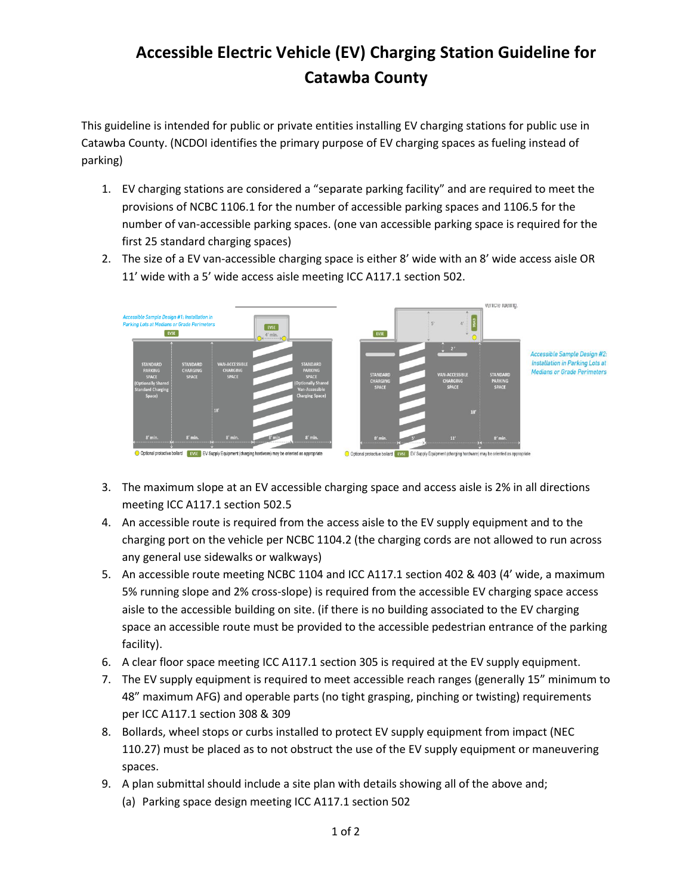## **Accessible Electric Vehicle (EV) Charging Station Guideline for Catawba County**

This guideline is intended for public or private entities installing EV charging stations for public use in Catawba County. (NCDOI identifies the primary purpose of EV charging spaces as fueling instead of parking)

- 1. EV charging stations are considered a "separate parking facility" and are required to meet the provisions of NCBC 1106.1 for the number of accessible parking spaces and 1106.5 for the number of van-accessible parking spaces. (one van accessible parking space is required for the first 25 standard charging spaces)
- 2. The size of a EV van-accessible charging space is either 8' wide with an 8' wide access aisle OR 11' wide with a 5' wide access aisle meeting ICC A117.1 section 502.



- 3. The maximum slope at an EV accessible charging space and access aisle is 2% in all directions meeting ICC A117.1 section 502.5
- 4. An accessible route is required from the access aisle to the EV supply equipment and to the charging port on the vehicle per NCBC 1104.2 (the charging cords are not allowed to run across any general use sidewalks or walkways)
- 5. An accessible route meeting NCBC 1104 and ICC A117.1 section 402 & 403 (4' wide, a maximum 5% running slope and 2% cross-slope) is required from the accessible EV charging space access aisle to the accessible building on site. (if there is no building associated to the EV charging space an accessible route must be provided to the accessible pedestrian entrance of the parking facility).
- 6. A clear floor space meeting ICC A117.1 section 305 is required at the EV supply equipment.
- 7. The EV supply equipment is required to meet accessible reach ranges (generally 15" minimum to 48" maximum AFG) and operable parts (no tight grasping, pinching or twisting) requirements per ICC A117.1 section 308 & 309
- 8. Bollards, wheel stops or curbs installed to protect EV supply equipment from impact (NEC 110.27) must be placed as to not obstruct the use of the EV supply equipment or maneuvering spaces.
- 9. A plan submittal should include a site plan with details showing all of the above and;
	- (a) Parking space design meeting ICC A117.1 section 502